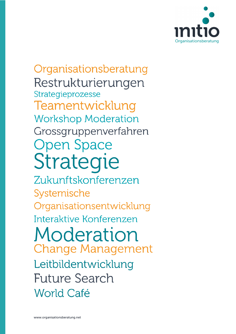

Organisationsberatung Restrukturierungen Strategieprozesse Teamentwicklung **Workshop Moderation** Grossgruppenverfahren **Open Space** Strategie

Zukunftskonferenzen Systemische Organisationsentwicklung Interaktive Konferenzen Moderation **Change Management** Leitbildentwicklung **Future Search World Café**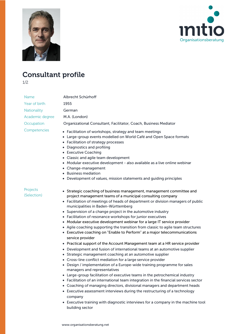



## Consultant profile

1/2

| Name                    | Albrecht Schürhoff                                                                                                                                                                                                                                                                                                                                                                                                                                                                                                                                                                                                                                                                                                                                                                                                                                                                                                                                                                                                                                                                                                                                                                                                                                                                                                                                                                                                                                                                                                      |
|-------------------------|-------------------------------------------------------------------------------------------------------------------------------------------------------------------------------------------------------------------------------------------------------------------------------------------------------------------------------------------------------------------------------------------------------------------------------------------------------------------------------------------------------------------------------------------------------------------------------------------------------------------------------------------------------------------------------------------------------------------------------------------------------------------------------------------------------------------------------------------------------------------------------------------------------------------------------------------------------------------------------------------------------------------------------------------------------------------------------------------------------------------------------------------------------------------------------------------------------------------------------------------------------------------------------------------------------------------------------------------------------------------------------------------------------------------------------------------------------------------------------------------------------------------------|
| Year of birth           | 1955                                                                                                                                                                                                                                                                                                                                                                                                                                                                                                                                                                                                                                                                                                                                                                                                                                                                                                                                                                                                                                                                                                                                                                                                                                                                                                                                                                                                                                                                                                                    |
| Nationality             | German                                                                                                                                                                                                                                                                                                                                                                                                                                                                                                                                                                                                                                                                                                                                                                                                                                                                                                                                                                                                                                                                                                                                                                                                                                                                                                                                                                                                                                                                                                                  |
| Academic degree         | M.A. (London)                                                                                                                                                                                                                                                                                                                                                                                                                                                                                                                                                                                                                                                                                                                                                                                                                                                                                                                                                                                                                                                                                                                                                                                                                                                                                                                                                                                                                                                                                                           |
| Occupation              | Organizational Consultant, Facilitator, Coach, Business Mediator                                                                                                                                                                                                                                                                                                                                                                                                                                                                                                                                                                                                                                                                                                                                                                                                                                                                                                                                                                                                                                                                                                                                                                                                                                                                                                                                                                                                                                                        |
| Competencies            | • Facilitation of workshops, strategy and team meetings<br>• Large-group events modelled on World Café and Open Space formats<br>• Facilitation of strategy processes<br>• Diagnostics and profiling<br>• Executive Coaching<br>• Classic and agile team development<br>• Modular executive development - also available as a live online webinar<br>• Change-management<br>• Business mediation<br>• Development of values, mission statements and guiding principles                                                                                                                                                                                                                                                                                                                                                                                                                                                                                                                                                                                                                                                                                                                                                                                                                                                                                                                                                                                                                                                  |
| Projects<br>(Selection) | • Strategic coaching of business management, management committee and<br>project management teams of a municipal consulting company<br>• Facilitation of meetings of heads of department or division managers of public<br>municipalities in Baden-Württemberg<br>• Supervision of a change project in the automotive industry<br>• Facilitation of resonance workshops for junior executives<br>• Modular executive development webinar for a large IT service provider<br>• Agile coaching supporting the transition from classic to agile team structures<br>• Executive coaching on "Enable to Perform" at a major telecommunications<br>service provider<br>• Practical support of the Account Management team at a HR service provider<br>• Development and fusion of international teams at an automotive supplier<br>• Strategic management coaching at an automotive supplier<br>• Cross-line conflict mediation for a large service provider<br>• Design / implementation of a Europe-wide training programme for sales<br>managers and representatives<br>• Large-group facilitation of executive teams in the petrochemical industry<br>• Facilitation of an international team integration in the financial services sector<br>• Coaching of managing directors, divisional managers and department heads<br>• Executive assessment interviews during the restructuring of a technology<br>company<br>• Executive training with diagnostic interviews for a company in the machine tool<br>building sector |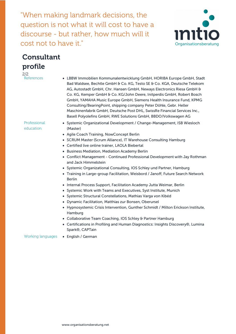"When making landmark decisions, the question is not what it will cost to have a discourse - but rather, how much will it cost not to have it."



## Consultant profile

2/2

Professional education

Bad Waldsee, Bechtle GmbH & Co. KG, Testo SE & Co. KGA, Deutsche Telekom AG, Autostadt GmbH, Chr. Hansen GmbH, Neways Electronics Riesa GmbH & Co. KG, Kemper GmbH & Co. KG/John Deere, Initperdis GmbH, Robert Bosch GmbH, YAMAHA Music Europe GmbH, Siemens Health Insurance Fund, KPMG Consulting/BearingPoint, shipping company Peter Döhle, Gebr. Heller Maschinenfabrik GmbH, Deutsche Post DHL, SwissRe Financial Services Inc., Basell Polyolefins GmbH, RWE Solutions GmbH, BBDO/Volkswagen AG

• LBBW Immobilien Kommunalentwicklung GmbH, HORIBA Europe GmbH, Stadt

- Systemic Organizational Development / Change-Management, ISB Wiesloch (Master)
- Agile Coach Training, NowConcept Berlin
- SCRUM Master (Scrum Alliance), IT Warehouse Consulting Hamburg
- Certified live online trainer, LAOLA Biebertal
- Business Mediation, Mediation Academy Berlin
- Conflict Management Continued Professional Development with Jay Rothman and Jack Himmelstein
- Systemic Organizational Consulting, IOS Schley und Partner, Hamburg
- Training in Large-group Facilitation, Weisbord / Janoff, Future Search Network Berlin
- Internal Process Support, Facilitation Academy Jutta Weimar, Berlin
- Systemic Work with Teams and Executives, Syst Institute, Munich
- Systemic Structural Constellations, Mathias Varga von Kibéd
- Dynamic Facilitation, Matthias zur Bonsen, Oberursel
- Hypnosystemic Crisis Intervention, Gunther Schmidt / Milton Erickson Institute, Hamburg
- Collaborative Team Coaching, IOS Schley & Partner Hamburg
- Certifications in Profiling and Human Diagnostics: Insights Discovery®, Lumina Spark®, CAPTain

Working languages • English / German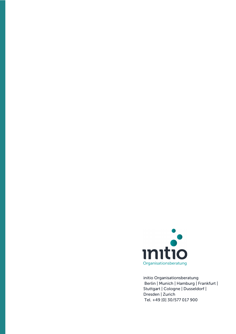

initio Organisationsberatung Berlin | Munich | Hamburg | Frankfurt | Stuttgart | Cologne | Dusseldorf | Dresden | Zurich Tel. +49 [0] 30/577 017 900